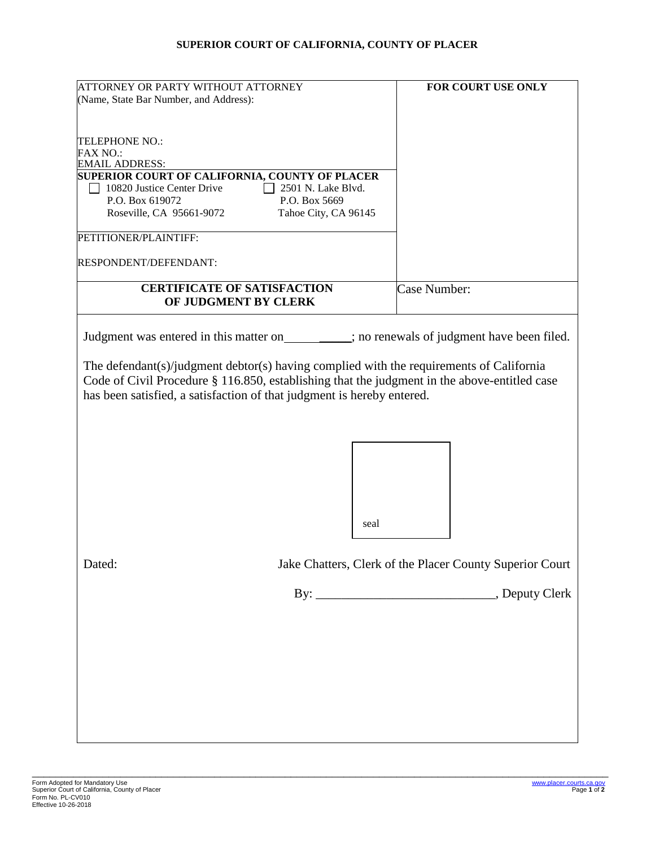## **SUPERIOR COURT OF CALIFORNIA, COUNTY OF PLACER**

| ATTORNEY OR PARTY WITHOUT ATTORNEY                                                                                                                                                                                                                                                                                                                                    | FOR COURT USE ONLY                                       |
|-----------------------------------------------------------------------------------------------------------------------------------------------------------------------------------------------------------------------------------------------------------------------------------------------------------------------------------------------------------------------|----------------------------------------------------------|
| (Name, State Bar Number, and Address):                                                                                                                                                                                                                                                                                                                                |                                                          |
|                                                                                                                                                                                                                                                                                                                                                                       |                                                          |
|                                                                                                                                                                                                                                                                                                                                                                       |                                                          |
| <b>TELEPHONE NO.:</b>                                                                                                                                                                                                                                                                                                                                                 |                                                          |
| <b>FAX NO.:</b><br><b>EMAIL ADDRESS:</b>                                                                                                                                                                                                                                                                                                                              |                                                          |
| SUPERIOR COURT OF CALIFORNIA, COUNTY OF PLACER                                                                                                                                                                                                                                                                                                                        |                                                          |
| 10820 Justice Center Drive<br>2501 N. Lake Blvd.                                                                                                                                                                                                                                                                                                                      |                                                          |
| P.O. Box 619072<br>P.O. Box 5669                                                                                                                                                                                                                                                                                                                                      |                                                          |
| Roseville, CA 95661-9072<br>Tahoe City, CA 96145                                                                                                                                                                                                                                                                                                                      |                                                          |
| PETITIONER/PLAINTIFF:                                                                                                                                                                                                                                                                                                                                                 |                                                          |
| RESPONDENT/DEFENDANT:                                                                                                                                                                                                                                                                                                                                                 |                                                          |
| <b>CERTIFICATE OF SATISFACTION</b>                                                                                                                                                                                                                                                                                                                                    | Case Number:                                             |
| OF JUDGMENT BY CLERK                                                                                                                                                                                                                                                                                                                                                  |                                                          |
| Judgment was entered in this matter on _______; no renewals of judgment have been filed.<br>The defendant(s)/judgment debtor(s) having complied with the requirements of California<br>Code of Civil Procedure § 116.850, establishing that the judgment in the above-entitled case<br>has been satisfied, a satisfaction of that judgment is hereby entered.<br>seal |                                                          |
| Dated:                                                                                                                                                                                                                                                                                                                                                                | Jake Chatters, Clerk of the Placer County Superior Court |
|                                                                                                                                                                                                                                                                                                                                                                       |                                                          |
|                                                                                                                                                                                                                                                                                                                                                                       |                                                          |

\_\_\_\_\_\_\_\_\_\_\_\_\_\_\_\_\_\_\_\_\_\_\_\_\_\_\_\_\_\_\_\_\_\_\_\_\_\_\_\_\_\_\_\_\_\_\_\_\_\_\_\_\_\_\_\_\_\_\_\_\_\_\_\_\_\_\_\_\_\_\_\_\_\_\_\_\_\_\_\_\_\_\_\_\_\_\_\_\_\_\_\_\_\_\_\_\_\_